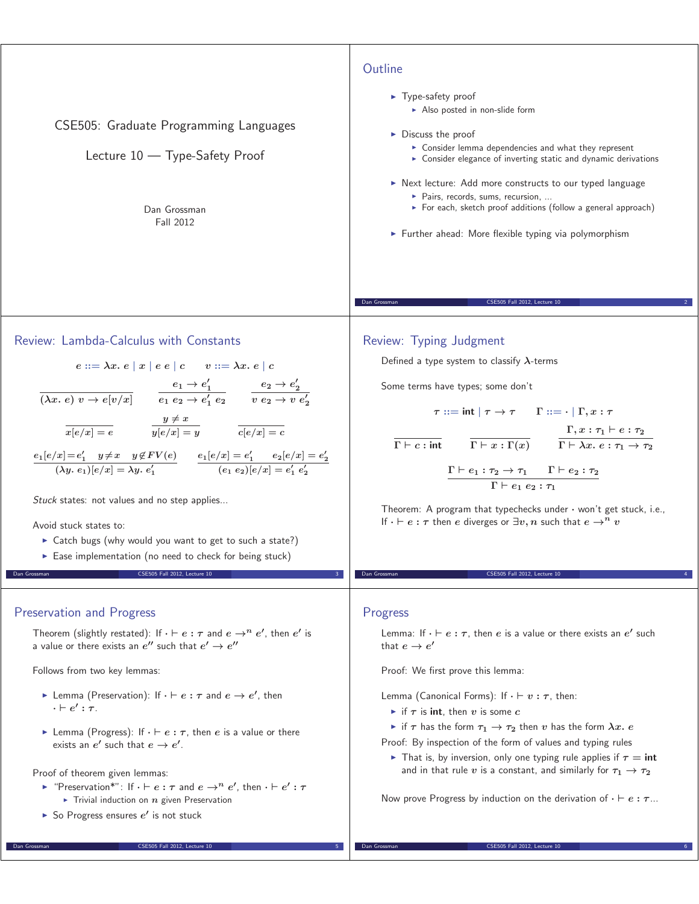

# Review: Lambda-Calculus with Constants

$$
e ::= \lambda x. e \mid x \mid e e \mid c \qquad v ::= \lambda x. e \mid c
$$

$$
\overline{(\lambda x. e) v \rightarrow e[v/x]} \qquad \overline{e_1 e_2 \rightarrow e'_1 e_2} \qquad \overline{v e_2 \rightarrow v e'_2}
$$

$$
\overline{x[e/x] = e} \qquad \overline{y[e/x] = y} \qquad \overline{c[e/x] = c}
$$

$$
\frac{e_1[e/x] = e'_1}{\langle \lambda y. e_1 \rangle [e/x] = \lambda y. e'_1} \qquad \frac{e_1[e/x] = e'_1}{\langle e_1 e_2 \rangle [e/x] = e'_1 e'_2}
$$

Stuck states: not values and no step applies...

Avoid stuck states to:

- ► Catch bugs (why would you want to get to such a state?)
- Ease implementation (no need to check for being stuck) CSE505 Fall 2012, Lecture 1

### Preservation and Progress

Theorem (slightly restated): If  $\cdot \vdash e : \tau$  and  $e \rightarrow^n e'$ , then  $e'$  is a value or there exists an  $e''$  such that  $e' \rightarrow e''$ 

Follows from two key lemmas:

- $\triangleright$  Lemma (Preservation): If  $\cdot \vdash e : τ$  and  $e \rightarrow e'$ , then  $\cdot \vdash e' : \tau.$
- $\blacktriangleright$  Lemma (Progress): If  $\cdot \vdash e : \tau$ , then *e* is a value or there exists an  $e'$  such that  $e \rightarrow e'$ .

#### Proof of theorem given lemmas:

 $\blacktriangleright$  "Preservation\*": If  $\cdot \vdash e : \tau$  and  $e \rightarrow^n e'$ , then  $\cdot \vdash e' : \tau$  $\blacktriangleright$  Trivial induction on  $n$  given Preservation

Dan Grossman CSE505 Fall 2012, Lecture 10 5

► So Progress ensures  $e'$  is not stuck

### Review: Typing Judgment

Defined a type system to classify *λ*-terms

Some terms have types; some don't

$$
\tau ::= \mathsf{int} \mid \tau \to \tau \qquad \Gamma ::= \cdot \mid \Gamma, x : \tau
$$
\n
$$
\frac{\Gamma, x : \tau_1 \vdash e : \tau_2}{\Gamma \vdash c : \mathsf{int}} \qquad \frac{\Gamma, x : \tau_1 \vdash e : \tau_2}{\Gamma \vdash \lambda x. e : \tau_1 \to \tau_2}
$$
\n
$$
\frac{\Gamma \vdash e_1 : \tau_2 \to \tau_1 \qquad \Gamma \vdash e_2 : \tau_2}{\Gamma \vdash e_1 e_2 : \tau_1}
$$

Dan Grossman CSE505 Fall 2012, Lecture 10 2

Theorem: A program that typechecks under *·* won't get stuck, i.e., If  $\cdot \vdash e : \tau$  then *e* diverges or  $\exists v, n$  such that  $e \rightarrow^n v$ 

CSE505 Fall 2012, Lecture 10

### Progress

Lemma: If  $\cdot \vdash e : \tau$ , then *e* is a value or there exists an *e*<sup>*r*</sup> such that  $e \rightarrow e'$ 

Proof: We first prove this lemma:

Lemma (Canonical Forms): If  $\cdot \vdash v : \tau$ , then:

- $\blacktriangleright$  if  $\tau$  is **int**, then  $v$  is some  $c$
- $\triangleright$  if  $\tau$  has the form  $\tau_1 \to \tau_2$  then  $v$  has the form  $\lambda x.$  e

Proof: By inspection of the form of values and typing rules

**►** That is, by inversion, only one typing rule applies if  $\tau = \text{int}$ and in that rule *v* is a constant, and similarly for  $\tau_1 \rightarrow \tau_2$ 

Now prove Progress by induction on the derivation of  $\cdot \vdash e : \tau ...$ 

Dan Grossman CSE505 Fall 2012, Lecture 10 6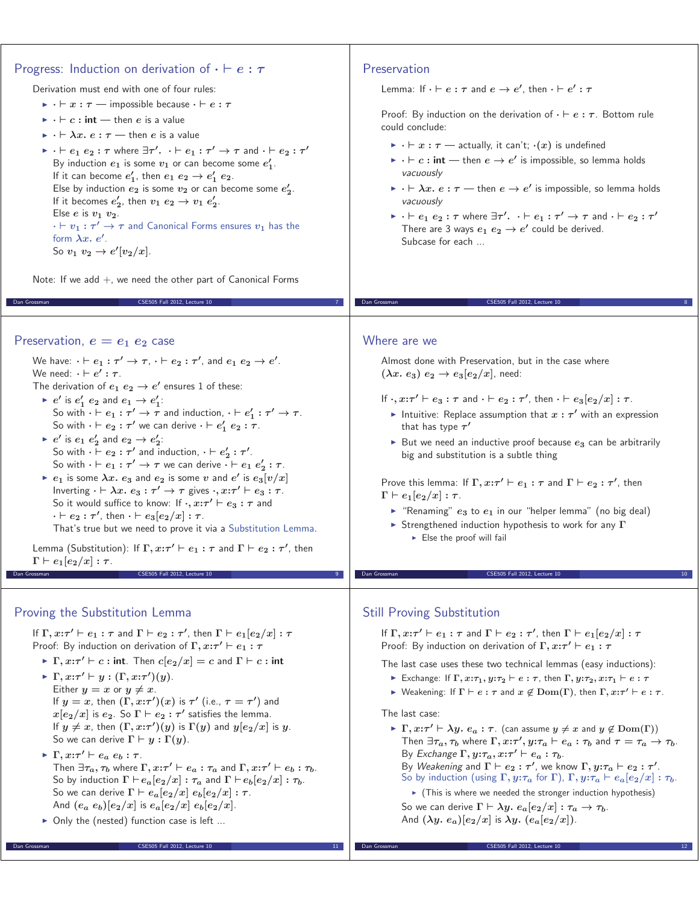# Progress: Induction on derivation of *· e* **:** *τ*

Derivation must end with one of four rules:

- $\triangleright$   $\cdot \vdash x : \tau$  impossible because  $\cdot \vdash e : \tau$
- $\blacktriangleright$   $\cdot \vdash c : \mathsf{int} \longrightarrow \mathsf{then} \; e \; \mathsf{is} \; \mathsf{a} \; \mathsf{value}$
- $\blacktriangleright$   $\cdot \vdash \lambda x.\ e:\tau$  then  $e$  is a value
- $\triangleright$   $\cdot \vdash e_1 \ e_2 : \tau$  where  $\exists \tau' \cdot \cdot \vdash e_1 : \tau' \rightarrow \tau$  and  $\cdot \vdash e_2 : \tau'$ By induction  $e_1$  is some  $v_1$  or can become some  $e'_1$ . If it can become  $e'_1$ , then  $e_1$   $e_2 \rightarrow e'_1$   $e_2$ . Else by induction  $e_2$  is some  $v_2$  or can become some  $e'_2$ . If it becomes  $e'_2$ , then  $v_1$   $e_2 \rightarrow v_1$   $e'_2$ . Else  $e$  is  $v_1$   $v_2$ .  $\cdot$   $\vdash$   $v_1$   $:$   $\tau'$   $\rightarrow$   $\tau$  and Canonical Forms ensures  $v_1$  has the form *λx. e-* . So  $v_1$   $v_2 \to e'[v_2/x]$ .

Note: If we add  $+$ , we need the other part of Canonical Forms

Dan Grossman CSE505 Fall 2012, Lecture 10 7

#### Preservation,  $e = e_1 e_2$  case

We have:  $\cdot \vdash e_1 : \tau' \to \tau, \cdot \vdash e_2 : \tau',$  and  $e_1\ e_2 \to e'.$ We need:  $\cdot \vdash e' : \tau$ .

The derivation of  $e_1$   $e_2 \rightarrow e'$  ensures 1 of these:

- $\blacktriangleright$   $e'$  is  $e'_1$   $e_2$  and  $e_1 \rightarrow e'_1$ : So with  $\cdot \vdash e_1 : \tau' \to \tau$  and induction,  $\cdot \vdash e'_1 : \tau' \to \tau$ . So with  $\cdot \vdash e_2 : \tau'$  we can derive  $\cdot \vdash e'_1 e_2 : \tau$ .
- $\blacktriangleright$   $e'$  is  $e_1$   $e'_2$  and  $e_2 \rightarrow e'_2$ : So with  $\cdot \vdash e_2 : \tau'$  and induction,  $\cdot \vdash e'_2 : \tau'$ . So with  $\cdot \vdash e_1 : \tau' \to \tau$  we can derive  $\cdot \vdash e_1 \ e'_2 : \tau$ .
- $\blacktriangleright$   $e_1$  is some  $\lambda x.$   $e_3$  and  $e_2$  is some  $v$  and  $e'$  is  $e_3[v/x]$ Inverting  $\cdot \vdash \lambda x.\ e_3 : \tau' \to \tau$  gives  $\cdot, x:\tau' \vdash e_3 : \tau$ . So it would suffice to know: If  $\cdot$ ,  $x:\tau' \vdash e_3 : \tau$  and  $\cdot$   $\vdash e_2 : \tau'$ , then  $\cdot \vdash e_3[e_2/x] : \tau$ . That's true but we need to prove it via a Substitution Lemma.

Lemma (Substitution): If  $\Gamma, x:\tau' \vdash e_1 : \tau$  and  $\Gamma \vdash e_2 : \tau'$ , then  $\Gamma \vdash e_1[e_2/x]: \tau.$ CSE505 Fall 2012, Lecture

# Proving the Substitution Lemma

If  $\Gamma, x:\tau'\vdash e_1:\tau$  and  $\Gamma\vdash e_2:\tau'$ , then  $\Gamma\vdash e_1[e_2/x]:\tau$ Proof: By induction on derivation of  $\Gamma, x:\tau' \vdash e_1 : \tau$ 

- $\blacktriangleright$   $\Gamma, x:\tau' \vdash c : \text{int. Then } c[e_2/x] = c \text{ and } \Gamma \vdash c : \text{int}$
- $\blacktriangleright$  **Γ**,  $x:\tau' \vdash y : (\Gamma, x:\tau')(y)$ . Either  $y = x$  or  $y \neq x$ . If  $y = x$ , then  $(\Gamma, x:\tau')(x)$  is  $\tau'$  (i.e.,  $\tau = \tau'$ ) and  $x[e_2/x]$  is  $e_2$ . So  $\Gamma \vdash e_2 : \tau'$  satisfies the lemma. If  $y \neq x$ , then  $(\Gamma, x : \tau')(y)$  is  $\Gamma(y)$  and  $y[e_2/x]$  is  $y$ . So we can derive  $\Gamma \vdash y : \Gamma(y)$ .
- $\blacktriangleright$   $\Gamma, x:\tau' \vdash e_a \ e_b : \tau$ . Then  $\exists \tau_a, \tau_b$  where  $\Gamma, x : \tau' \vdash e_a : \tau_a$  and  $\Gamma, x : \tau' \vdash e_b : \tau_b$ . So by induction  $\Gamma \vdash e_a[e_2/x]: \tau_a$  and  $\Gamma \vdash e_b[e_2/x]: \tau_b$ . So we can derive  $\Gamma \vdash e_a[e_2/x]$   $e_b[e_2/x] : \tau$ . And  $(e_a \ e_b)[e_2/x]$  is  $e_a[e_2/x] \ e_b[e_2/x]$ .

Dan Grossman CSE505 Fall 2012, Lecture 10 11

▶ Only the (nested) function case is left ...

## Preservation

Lemma: If  $\cdot \vdash e : \tau$  and  $e \to e'$ , then  $\cdot \vdash e' : \tau$ 

Proof: By induction on the derivation of  $\cdot \vdash e : \tau$ . Bottom rule could conclude:

- $\triangleright$   $\cdot \vdash x : \tau \longrightarrow$  actually, it can't;  $\cdot(x)$  is undefined
- $\triangleright$   $\cdot \vdash c : \mathsf{int} \longrightarrow \mathsf{then} \ e \rightarrow e' \ \mathsf{is} \ \mathsf{impossible} \ \mathsf{so} \ \mathsf{lemma} \ \mathsf{holds}$ vacuously
- $\triangleright$   $\cdot \vdash \lambda x.\ e:\tau \rightharpoonup$  then  $e \rightarrow e'$  is impossible, so lemma holds vacuously
- $\triangleright$   $\cdot \vdash e_1\ e_2 : \tau$  where  $\exists \tau' .\ \cdot \vdash e_1 : \tau' \rightarrow \tau$  and  $\cdot \vdash e_2 : \tau'$ There are 3 ways  $e_1$   $e_2 \rightarrow e'$  could be derived. Subcase for each ...

Dan Grossman CSE505 Fall 2012, Lecture 10 8

#### Where are we

Almost done with Preservation, but in the case where  $(\lambda x. e_3) e_2 \rightarrow e_3[e_2/x]$ , need:

- If  $\cdot, x:\tau' \vdash e_3 : \tau$  and  $\cdot \vdash e_2 : \tau'$ , then  $\cdot \vdash e_3[e_2/x] : \tau$ .
	- $\blacktriangleright$  Intuitive: Replace assumption that  $x : \tau'$  with an expression that has type *τ -*
	- $\blacktriangleright$  But we need an inductive proof because  $e_3$  can be arbitrarily big and substitution is a subtle thing

Prove this lemma: If  $\Gamma, x:\tau' \vdash e_1 : \tau$  and  $\Gamma \vdash e_2 : \tau'$ , then  $\Gamma \vdash e_1[e_2/x]: \tau.$ 

- "Renaming" *e***<sup>3</sup>** to *e***<sup>1</sup>** in our "helper lemma" (no big deal)

CSE505 Fall 2012, Lecture 1

- Strengthened induction hypothesis to work for any **Γ Else the proof will fail** 

### Still Proving Substitution

If  $\Gamma, x:\tau'\vdash e_1:\tau$  and  $\Gamma\vdash e_2:\tau'$ , then  $\Gamma\vdash e_1[e_2/x]:\tau$ Proof: By induction on derivation of  $\Gamma, x:\tau' \vdash e_1 : \tau$ 

The last case uses these two technical lemmas (easy inductions):

- $\blacktriangleright$  Exchange: If  $\Gamma, x{:}\tau_1, y{:}\tau_2 \vdash e : \tau$ , then  $\Gamma, y{:}\tau_2, x{:}\tau_1 \vdash e : \tau$
- $\blacktriangleright$  Weakening: If  $\Gamma \vdash e : \tau$  and  $x \not\in \mathrm{Dom}(\Gamma)$ , then  $\Gamma, x : \tau' \vdash e : \tau$ .

The last case:

- $\blacktriangleright$  **Γ***, x***:***τ***<sup>'</sup>**  $\vdash$  $\lambda y$ *.**e***<sub>***a***</sub> <b>:**  $\tau$ *.* (can assume  $y \neq x$  and  $y \notin \text{Dom}(\Gamma)$ ) Then  $\exists \tau_a, \tau_b$  where  $\Gamma, x{:}\tau', y{:}\tau_a \vdash e_a : \tau_b$  and  $\tau = \tau_a \rightarrow \tau_b$ . By Exchange  $\Gamma, y:\tau_a, x:\tau' \vdash e_a:\tau_b$ .
	- By Weakening and  $\Gamma \vdash e_2 : \tau'$ , we know  $\Gamma, y : \tau_a \vdash e_2 : \tau'$ .
	- So by induction (using  $\Gamma$ ,  $y:\tau_a$  for  $\Gamma$ ),  $\Gamma$ ,  $y:\tau_a \vdash e_a[e_2/x]: \tau_b$ . - (This is where we needed the stronger induction hypothesis)

So we can derive  $\Gamma \vdash \lambda y$ .  $e_a[e_2/x] : \tau_a \to \tau_b$ . And  $(\lambda y. e_a)[e_2/x]$  is  $\lambda y. (e_a[e_2/x])$ .